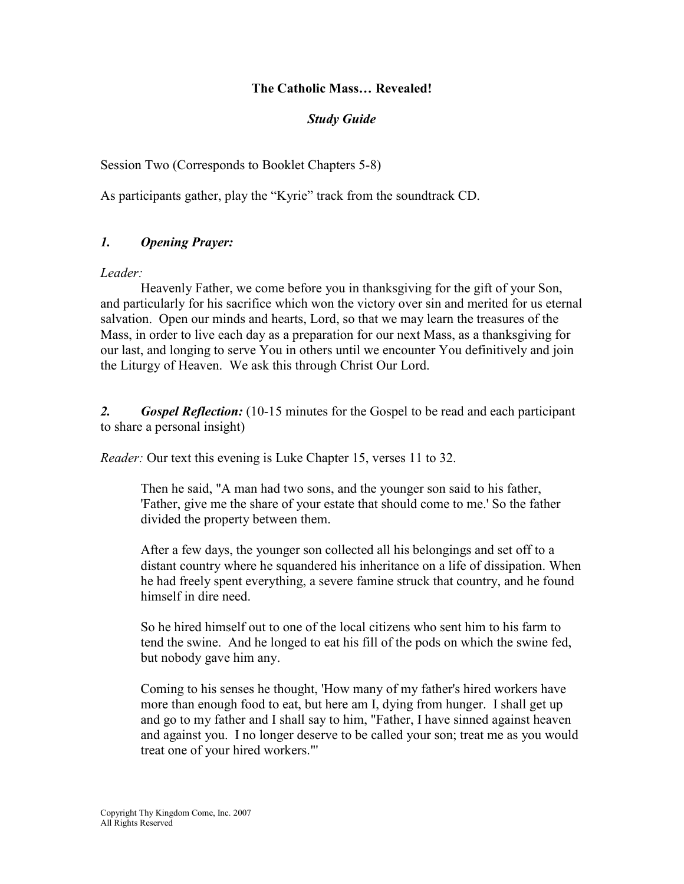### The Catholic Mass… Revealed!

## Study Guide

Session Two (Corresponds to Booklet Chapters 5-8)

As participants gather, play the "Kyrie" track from the soundtrack CD.

## 1. Opening Prayer:

Leader:

Heavenly Father, we come before you in thanksgiving for the gift of your Son, and particularly for his sacrifice which won the victory over sin and merited for us eternal salvation. Open our minds and hearts, Lord, so that we may learn the treasures of the Mass, in order to live each day as a preparation for our next Mass, as a thanksgiving for our last, and longing to serve You in others until we encounter You definitively and join the Liturgy of Heaven. We ask this through Christ Our Lord.

2. Gospel Reflection: (10-15 minutes for the Gospel to be read and each participant to share a personal insight)

Reader: Our text this evening is Luke Chapter 15, verses 11 to 32.

Then he said, "A man had two sons, and the younger son said to his father, 'Father, give me the share of your estate that should come to me.' So the father divided the property between them.

After a few days, the younger son collected all his belongings and set off to a distant country where he squandered his inheritance on a life of dissipation. When he had freely spent everything, a severe famine struck that country, and he found himself in dire need.

So he hired himself out to one of the local citizens who sent him to his farm to tend the swine. And he longed to eat his fill of the pods on which the swine fed, but nobody gave him any.

Coming to his senses he thought, 'How many of my father's hired workers have more than enough food to eat, but here am I, dying from hunger. I shall get up and go to my father and I shall say to him, "Father, I have sinned against heaven and against you. I no longer deserve to be called your son; treat me as you would treat one of your hired workers."'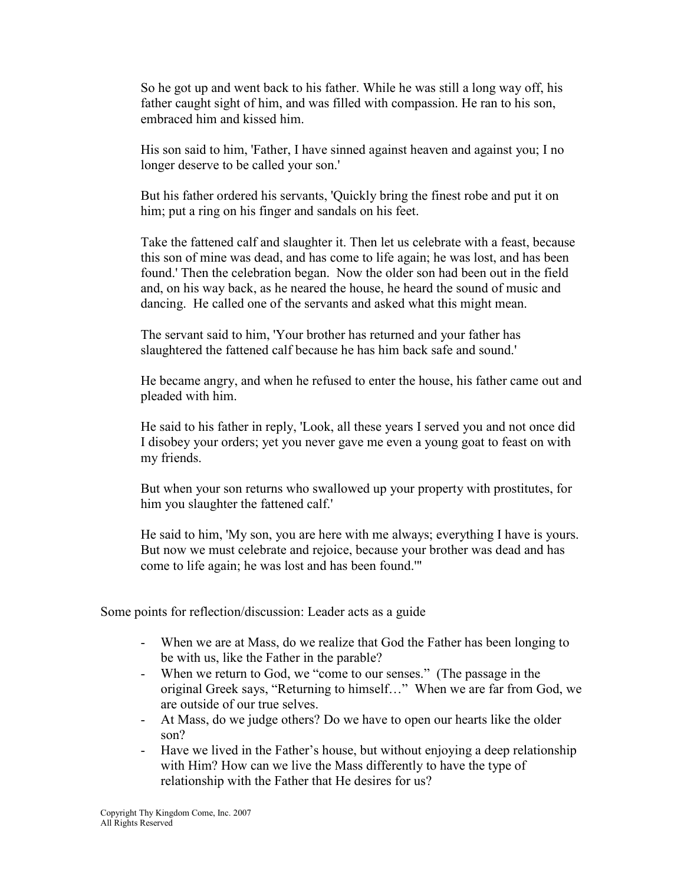So he got up and went back to his father. While he was still a long way off, his father caught sight of him, and was filled with compassion. He ran to his son, embraced him and kissed him.

His son said to him, 'Father, I have sinned against heaven and against you; I no longer deserve to be called your son.'

But his father ordered his servants, 'Quickly bring the finest robe and put it on him; put a ring on his finger and sandals on his feet.

Take the fattened calf and slaughter it. Then let us celebrate with a feast, because this son of mine was dead, and has come to life again; he was lost, and has been found.' Then the celebration began. Now the older son had been out in the field and, on his way back, as he neared the house, he heard the sound of music and dancing. He called one of the servants and asked what this might mean.

The servant said to him, 'Your brother has returned and your father has slaughtered the fattened calf because he has him back safe and sound.'

He became angry, and when he refused to enter the house, his father came out and pleaded with him.

He said to his father in reply, 'Look, all these years I served you and not once did I disobey your orders; yet you never gave me even a young goat to feast on with my friends.

But when your son returns who swallowed up your property with prostitutes, for him you slaughter the fattened calf.'

He said to him, 'My son, you are here with me always; everything I have is yours. But now we must celebrate and rejoice, because your brother was dead and has come to life again; he was lost and has been found.'"

Some points for reflection/discussion: Leader acts as a guide

- When we are at Mass, do we realize that God the Father has been longing to be with us, like the Father in the parable?
- When we return to God, we "come to our senses." (The passage in the original Greek says, "Returning to himself…" When we are far from God, we are outside of our true selves.
- At Mass, do we judge others? Do we have to open our hearts like the older son?
- Have we lived in the Father's house, but without enjoying a deep relationship with Him? How can we live the Mass differently to have the type of relationship with the Father that He desires for us?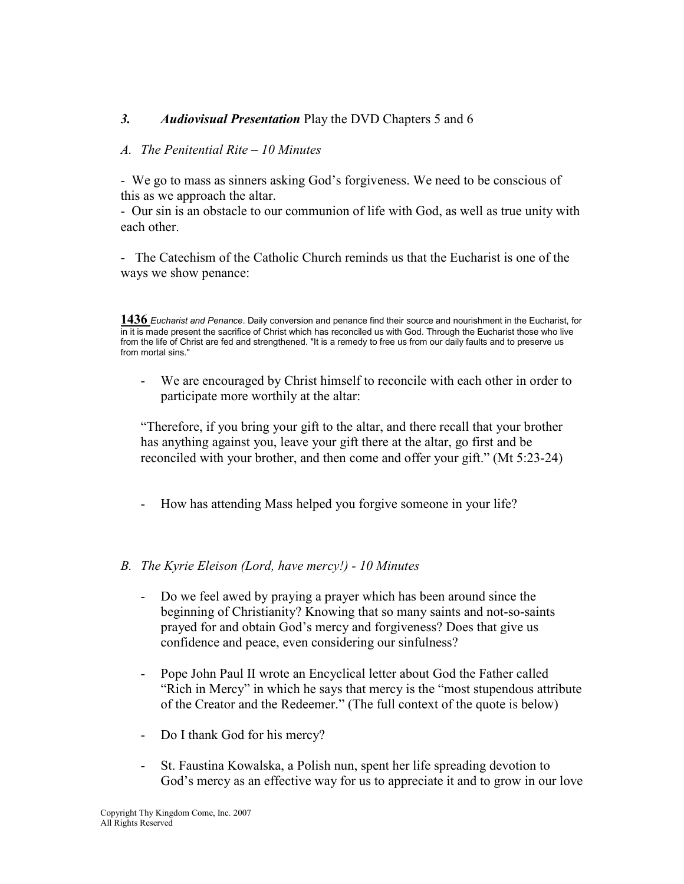#### 3. Audiovisual Presentation Play the DVD Chapters 5 and 6

#### A. The Penitential Rite – 10 Minutes

- We go to mass as sinners asking God's forgiveness. We need to be conscious of this as we approach the altar.

- Our sin is an obstacle to our communion of life with God, as well as true unity with each other.

- The Catechism of the Catholic Church reminds us that the Eucharist is one of the ways we show penance:

 $1436$  Eucharist and Penance. Daily conversion and penance find their source and nourishment in the Eucharist, for in it is made present the sacrifice of Christ which has reconciled us with God. Through the Eucharist those who live from the life of Christ are fed and strengthened. "It is a remedy to free us from our daily faults and to preserve us from mortal sins."

- We are encouraged by Christ himself to reconcile with each other in order to participate more worthily at the altar:

"Therefore, if you bring your gift to the altar, and there recall that your brother has anything against you, leave your gift there at the altar, go first and be reconciled with your brother, and then come and offer your gift." (Mt 5:23-24)

- How has attending Mass helped you forgive someone in your life?

#### B. The Kyrie Eleison (Lord, have mercy!) - 10 Minutes

- Do we feel awed by praying a prayer which has been around since the beginning of Christianity? Knowing that so many saints and not-so-saints prayed for and obtain God's mercy and forgiveness? Does that give us confidence and peace, even considering our sinfulness?
- Pope John Paul II wrote an Encyclical letter about God the Father called "Rich in Mercy" in which he says that mercy is the "most stupendous attribute of the Creator and the Redeemer." (The full context of the quote is below)
- Do I thank God for his mercy?
- St. Faustina Kowalska, a Polish nun, spent her life spreading devotion to God's mercy as an effective way for us to appreciate it and to grow in our love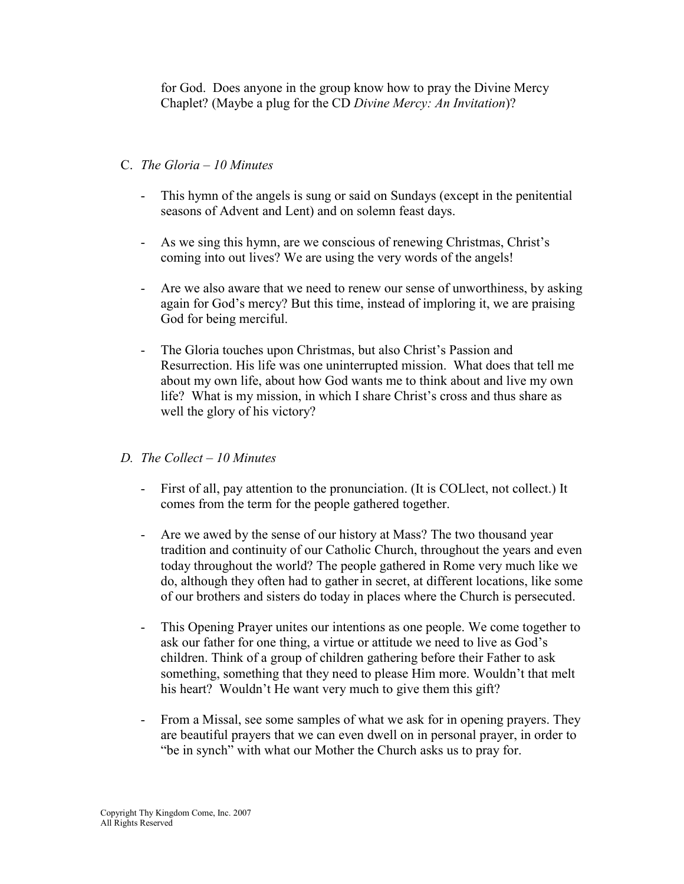for God. Does anyone in the group know how to pray the Divine Mercy Chaplet? (Maybe a plug for the CD Divine Mercy: An Invitation)?

# C. The Gloria – 10 Minutes

- This hymn of the angels is sung or said on Sundays (except in the penitential seasons of Advent and Lent) and on solemn feast days.
- As we sing this hymn, are we conscious of renewing Christmas, Christ's coming into out lives? We are using the very words of the angels!
- Are we also aware that we need to renew our sense of unworthiness, by asking again for God's mercy? But this time, instead of imploring it, we are praising God for being merciful.
- The Gloria touches upon Christmas, but also Christ's Passion and Resurrection. His life was one uninterrupted mission. What does that tell me about my own life, about how God wants me to think about and live my own life? What is my mission, in which I share Christ's cross and thus share as well the glory of his victory?
- D. The Collect 10 Minutes
	- First of all, pay attention to the pronunciation. (It is COLlect, not collect.) It comes from the term for the people gathered together.
	- Are we awed by the sense of our history at Mass? The two thousand year tradition and continuity of our Catholic Church, throughout the years and even today throughout the world? The people gathered in Rome very much like we do, although they often had to gather in secret, at different locations, like some of our brothers and sisters do today in places where the Church is persecuted.
	- This Opening Prayer unites our intentions as one people. We come together to ask our father for one thing, a virtue or attitude we need to live as God's children. Think of a group of children gathering before their Father to ask something, something that they need to please Him more. Wouldn't that melt his heart? Wouldn't He want very much to give them this gift?
	- From a Missal, see some samples of what we ask for in opening prayers. They are beautiful prayers that we can even dwell on in personal prayer, in order to "be in synch" with what our Mother the Church asks us to pray for.